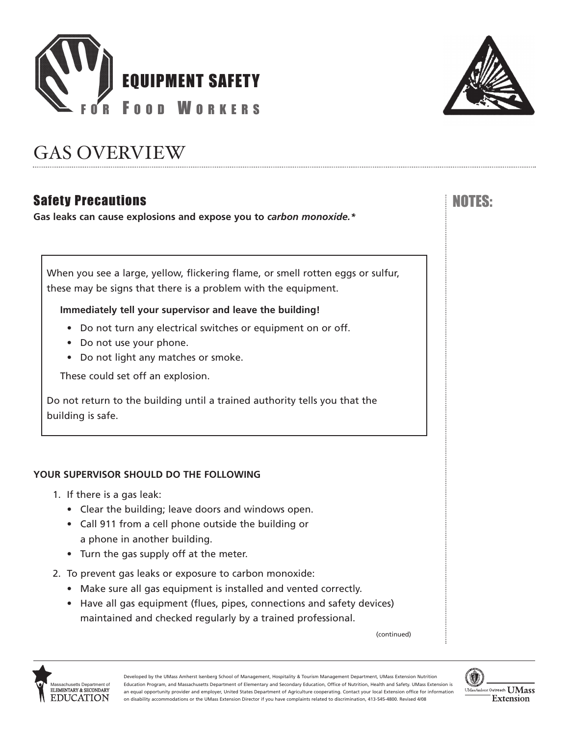



# GAS OVERVIEW

## Safety Precautions No. 2006. The Safety Precautions No. 2006. The Safety Precautions Inc. 2007.

**Gas leaks can cause explosions and expose you to** *carbon monoxide.\**

When you see a large, yellow, flickering flame, or smell rotten eggs or sulfur, these may be signs that there is a problem with the equipment.

## **Immediately tell your supervisor and leave the building!**

- Do not turn any electrical switches or equipment on or off.
- Do not use your phone.
- Do not light any matches or smoke.

These could set off an explosion.

Do not return to the building until a trained authority tells you that the building is safe.

## **YOUR SUPERVISOR SHOULD DO THE FOLLOWING**

- 1. If there is a gas leak:
	- Clear the building; leave doors and windows open.
	- Call 911 from a cell phone outside the building or a phone in another building.
	- Turn the gas supply off at the meter.
- 2. To prevent gas leaks or exposure to carbon monoxide:
	- Make sure all gas equipment is installed and vented correctly.
	- Have all gas equipment (flues, pipes, connections and safety devices) maintained and checked regularly by a trained professional.

(continued)



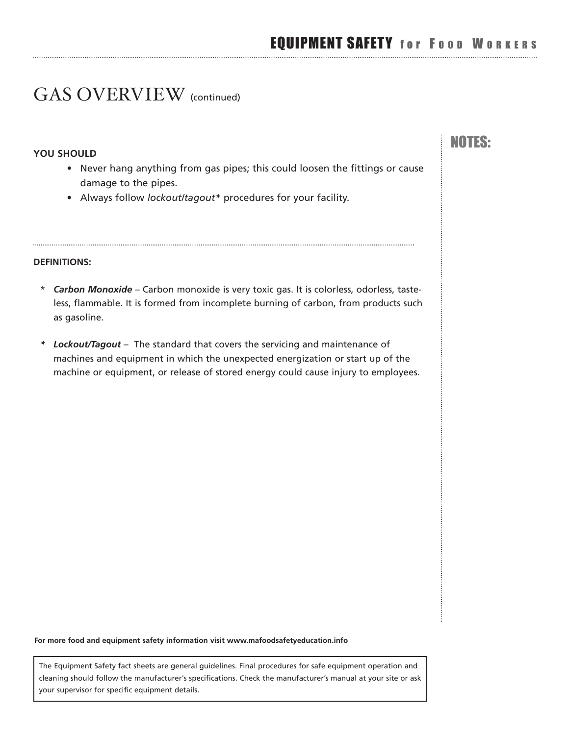NOTES:

## GAS OVERVIEW (continued)

#### **YOU SHOULD**

- Never hang anything from gas pipes; this could loosen the fittings or cause damage to the pipes.
- Always follow *ockout/tagout\** procedures for your facility.

#### **DEFINITIONS:**

- \* *Carbon Monoxide* Carbon monoxide is very toxic gas. It is colorless, odorless, tasteless, flammable. It is formed from incomplete burning of carbon, from products such as gasoline.
- *\* Lockout/Tagout* The standard that covers the servicing and maintenance of machines and equipment in which the unexpected energization or start up of the machine or equipment, or release of stored energy could cause injury to employees.

**For more food and equipment safety information visit<www.mafoodsafetyeducation.info>**

The Equipment Safety fact sheets are general guidelines. Final procedures for safe equipment operation and cleaning should follow the manufacturer's specifications. Check the manufacturer's manual at your site or ask your supervisor for specific equipment details.